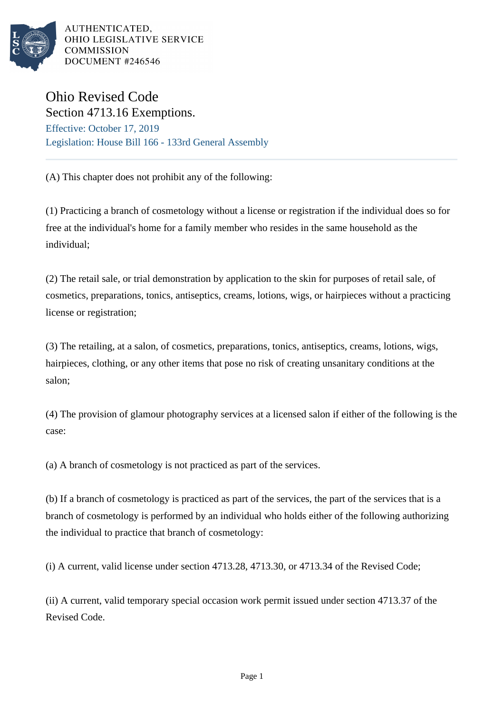

AUTHENTICATED. OHIO LEGISLATIVE SERVICE **COMMISSION** DOCUMENT #246546

## Ohio Revised Code Section 4713.16 Exemptions.

Effective: October 17, 2019 Legislation: House Bill 166 - 133rd General Assembly

(A) This chapter does not prohibit any of the following:

(1) Practicing a branch of cosmetology without a license or registration if the individual does so for free at the individual's home for a family member who resides in the same household as the individual;

(2) The retail sale, or trial demonstration by application to the skin for purposes of retail sale, of cosmetics, preparations, tonics, antiseptics, creams, lotions, wigs, or hairpieces without a practicing license or registration;

(3) The retailing, at a salon, of cosmetics, preparations, tonics, antiseptics, creams, lotions, wigs, hairpieces, clothing, or any other items that pose no risk of creating unsanitary conditions at the salon;

(4) The provision of glamour photography services at a licensed salon if either of the following is the case:

(a) A branch of cosmetology is not practiced as part of the services.

(b) If a branch of cosmetology is practiced as part of the services, the part of the services that is a branch of cosmetology is performed by an individual who holds either of the following authorizing the individual to practice that branch of cosmetology:

(i) A current, valid license under section 4713.28, 4713.30, or 4713.34 of the Revised Code;

(ii) A current, valid temporary special occasion work permit issued under section 4713.37 of the Revised Code.